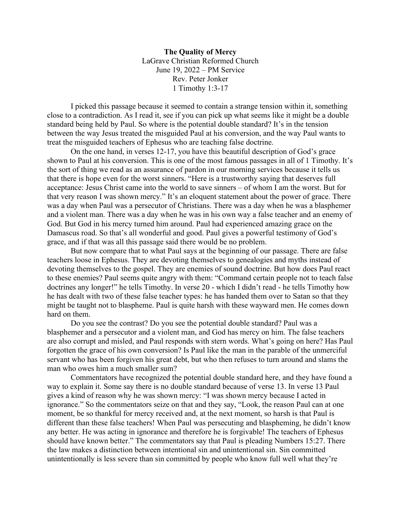**The Quality of Mercy** LaGrave Christian Reformed Church June 19, 2022 – PM Service Rev. Peter Jonker 1 Timothy 1:3-17

I picked this passage because it seemed to contain a strange tension within it, something close to a contradiction. As I read it, see if you can pick up what seems like it might be a double standard being held by Paul. So where is the potential double standard? It's in the tension between the way Jesus treated the misguided Paul at his conversion, and the way Paul wants to treat the misguided teachers of Ephesus who are teaching false doctrine.

On the one hand, in verses 12-17, you have this beautiful description of God's grace shown to Paul at his conversion. This is one of the most famous passages in all of 1 Timothy. It's the sort of thing we read as an assurance of pardon in our morning services because it tells us that there is hope even for the worst sinners. "Here is a trustworthy saying that deserves full acceptance: Jesus Christ came into the world to save sinners – of whom I am the worst. But for that very reason I was shown mercy." It's an eloquent statement about the power of grace. There was a day when Paul was a persecutor of Christians. There was a day when he was a blasphemer and a violent man. There was a day when he was in his own way a false teacher and an enemy of God. But God in his mercy turned him around. Paul had experienced amazing grace on the Damascus road. So that's all wonderful and good. Paul gives a powerful testimony of God's grace, and if that was all this passage said there would be no problem.

But now compare that to what Paul says at the beginning of our passage. There are false teachers loose in Ephesus. They are devoting themselves to genealogies and myths instead of devoting themselves to the gospel. They are enemies of sound doctrine. But how does Paul react to these enemies? Paul seems quite angry with them: "Command certain people not to teach false doctrines any longer!" he tells Timothy. In verse 20 - which I didn't read - he tells Timothy how he has dealt with two of these false teacher types: he has handed them over to Satan so that they might be taught not to blaspheme. Paul is quite harsh with these wayward men. He comes down hard on them.

Do you see the contrast? Do you see the potential double standard? Paul was a blasphemer and a persecutor and a violent man, and God has mercy on him. The false teachers are also corrupt and misled, and Paul responds with stern words. What's going on here? Has Paul forgotten the grace of his own conversion? Is Paul like the man in the parable of the unmerciful servant who has been forgiven his great debt, but who then refuses to turn around and slams the man who owes him a much smaller sum?

Commentators have recognized the potential double standard here, and they have found a way to explain it. Some say there is no double standard because of verse 13. In verse 13 Paul gives a kind of reason why he was shown mercy: "I was shown mercy because I acted in ignorance." So the commentators seize on that and they say, "Look, the reason Paul can at one moment, be so thankful for mercy received and, at the next moment, so harsh is that Paul is different than these false teachers! When Paul was persecuting and blaspheming, he didn't know any better. He was acting in ignorance and therefore he is forgivable! The teachers of Ephesus should have known better." The commentators say that Paul is pleading Numbers 15:27. There the law makes a distinction between intentional sin and unintentional sin. Sin committed unintentionally is less severe than sin committed by people who know full well what they're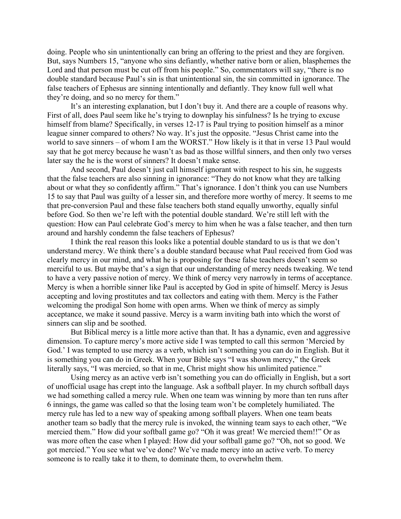doing. People who sin unintentionally can bring an offering to the priest and they are forgiven. But, says Numbers 15, "anyone who sins defiantly, whether native born or alien, blasphemes the Lord and that person must be cut off from his people." So, commentators will say, "there is no double standard because Paul's sin is that unintentional sin, the sin committed in ignorance. The false teachers of Ephesus are sinning intentionally and defiantly. They know full well what they're doing, and so no mercy for them."

It's an interesting explanation, but I don't buy it. And there are a couple of reasons why. First of all, does Paul seem like he's trying to downplay his sinfulness? Is he trying to excuse himself from blame? Specifically, in verses 12-17 is Paul trying to position himself as a minor league sinner compared to others? No way. It's just the opposite. "Jesus Christ came into the world to save sinners – of whom I am the WORST." How likely is it that in verse 13 Paul would say that he got mercy because he wasn't as bad as those willful sinners, and then only two verses later say the he is the worst of sinners? It doesn't make sense.

And second, Paul doesn't just call himself ignorant with respect to his sin, he suggests that the false teachers are also sinning in ignorance: "They do not know what they are talking about or what they so confidently affirm." That's ignorance. I don't think you can use Numbers 15 to say that Paul was guilty of a lesser sin, and therefore more worthy of mercy. It seems to me that pre-conversion Paul and these false teachers both stand equally unworthy, equally sinful before God. So then we're left with the potential double standard. We're still left with the question: How can Paul celebrate God's mercy to him when he was a false teacher, and then turn around and harshly condemn the false teachers of Ephesus?

I think the real reason this looks like a potential double standard to us is that we don't understand mercy. We think there's a double standard because what Paul received from God was clearly mercy in our mind, and what he is proposing for these false teachers doesn't seem so merciful to us. But maybe that's a sign that our understanding of mercy needs tweaking. We tend to have a very passive notion of mercy. We think of mercy very narrowly in terms of acceptance. Mercy is when a horrible sinner like Paul is accepted by God in spite of himself. Mercy is Jesus accepting and loving prostitutes and tax collectors and eating with them. Mercy is the Father welcoming the prodigal Son home with open arms. When we think of mercy as simply acceptance, we make it sound passive. Mercy is a warm inviting bath into which the worst of sinners can slip and be soothed.

But Biblical mercy is a little more active than that. It has a dynamic, even and aggressive dimension. To capture mercy's more active side I was tempted to call this sermon 'Mercied by God.' I was tempted to use mercy as a verb, which isn't something you can do in English. But it is something you can do in Greek. When your Bible says "I was shown mercy," the Greek literally says, "I was mercied, so that in me, Christ might show his unlimited patience."

Using mercy as an active verb isn't something you can do officially in English, but a sort of unofficial usage has crept into the language. Ask a softball player. In my church softball days we had something called a mercy rule. When one team was winning by more than ten runs after 6 innings, the game was called so that the losing team won't be completely humiliated. The mercy rule has led to a new way of speaking among softball players. When one team beats another team so badly that the mercy rule is invoked, the winning team says to each other, "We mercied them." How did your softball game go? "Oh it was great! We mercied them!!" Or as was more often the case when I played: How did your softball game go? "Oh, not so good. We got mercied." You see what we've done? We've made mercy into an active verb. To mercy someone is to really take it to them, to dominate them, to overwhelm them.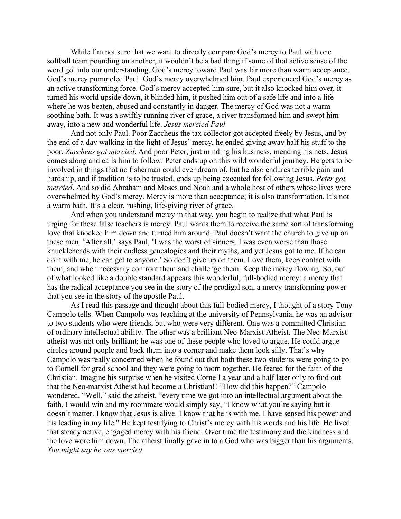While I'm not sure that we want to directly compare God's mercy to Paul with one softball team pounding on another, it wouldn't be a bad thing if some of that active sense of the word got into our understanding. God's mercy toward Paul was far more than warm acceptance. God's mercy pummeled Paul. God's mercy overwhelmed him. Paul experienced God's mercy as an active transforming force. God's mercy accepted him sure, but it also knocked him over, it turned his world upside down, it blinded him, it pushed him out of a safe life and into a life where he was beaten, abused and constantly in danger. The mercy of God was not a warm soothing bath. It was a swiftly running river of grace, a river transformed him and swept him away, into a new and wonderful life. *Jesus mercied Paul.*

And not only Paul. Poor Zaccheus the tax collector got accepted freely by Jesus, and by the end of a day walking in the light of Jesus' mercy, he ended giving away half his stuff to the poor. *Zaccheus got mercied*. And poor Peter, just minding his business, mending his nets, Jesus comes along and calls him to follow. Peter ends up on this wild wonderful journey. He gets to be involved in things that no fisherman could ever dream of, but he also endures terrible pain and hardship, and if tradition is to be trusted, ends up being executed for following Jesus. *Peter got mercied*. And so did Abraham and Moses and Noah and a whole host of others whose lives were overwhelmed by God's mercy. Mercy is more than acceptance; it is also transformation. It's not a warm bath. It's a clear, rushing, life-giving river of grace.

And when you understand mercy in that way, you begin to realize that what Paul is urging for these false teachers is mercy. Paul wants them to receive the same sort of transforming love that knocked him down and turned him around. Paul doesn't want the church to give up on these men. 'After all,' says Paul, 'I was the worst of sinners. I was even worse than those knuckleheads with their endless genealogies and their myths, and yet Jesus got to me. If he can do it with me, he can get to anyone.' So don't give up on them. Love them, keep contact with them, and when necessary confront them and challenge them. Keep the mercy flowing. So, out of what looked like a double standard appears this wonderful, full-bodied mercy: a mercy that has the radical acceptance you see in the story of the prodigal son, a mercy transforming power that you see in the story of the apostle Paul.

As I read this passage and thought about this full-bodied mercy, I thought of a story Tony Campolo tells. When Campolo was teaching at the university of Pennsylvania, he was an advisor to two students who were friends, but who were very different. One was a committed Christian of ordinary intellectual ability. The other was a brilliant Neo-Marxist Atheist. The Neo-Marxist atheist was not only brilliant; he was one of these people who loved to argue. He could argue circles around people and back them into a corner and make them look silly. That's why Campolo was really concerned when he found out that both these two students were going to go to Cornell for grad school and they were going to room together. He feared for the faith of the Christian. Imagine his surprise when he visited Cornell a year and a half later only to find out that the Neo-marxist Atheist had become a Christian!! "How did this happen?" Campolo wondered. "Well," said the atheist, "every time we got into an intellectual argument about the faith, I would win and my roommate would simply say, "I know what you're saying but it doesn't matter. I know that Jesus is alive. I know that he is with me. I have sensed his power and his leading in my life." He kept testifying to Christ's mercy with his words and his life. He lived that steady active, engaged mercy with his friend. Over time the testimony and the kindness and the love wore him down. The atheist finally gave in to a God who was bigger than his arguments. *You might say he was mercied.*